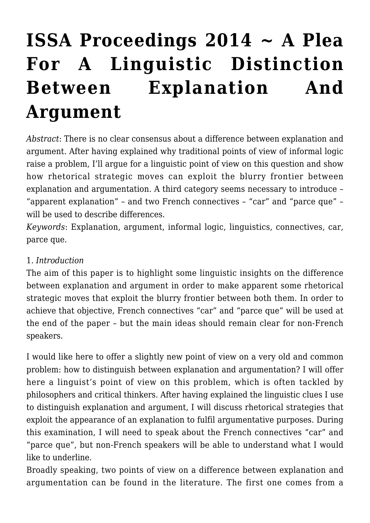# **[ISSA Proceedings 2014 ~ A Plea](https://rozenbergquarterly.com/issa-proceedings-2014-a-plea-for-a-linguistic-distinction-between-explanation-and-argument/) [For A Linguistic Distinction](https://rozenbergquarterly.com/issa-proceedings-2014-a-plea-for-a-linguistic-distinction-between-explanation-and-argument/) [Between Explanation And](https://rozenbergquarterly.com/issa-proceedings-2014-a-plea-for-a-linguistic-distinction-between-explanation-and-argument/) [Argument](https://rozenbergquarterly.com/issa-proceedings-2014-a-plea-for-a-linguistic-distinction-between-explanation-and-argument/)**

*Abstract*: There is no clear consensus about a difference between explanation and argument. After having explained why traditional points of view of informal logic raise a problem, I'll argue for a linguistic point of view on this question and show how rhetorical strategic moves can exploit the blurry frontier between explanation and argumentation. A third category seems necessary to introduce – "apparent explanation" – and two French connectives – "car" and "parce que" – will be used to describe differences.

*Keywords*: Explanation, argument, informal logic, linguistics, connectives, car, parce que.

#### 1. *Introduction*

The aim of this paper is to highlight some linguistic insights on the difference between explanation and argument in order to make apparent some rhetorical strategic moves that exploit the blurry frontier between both them. In order to achieve that objective, French connectives "car" and "parce que" will be used at the end of the paper – but the main ideas should remain clear for non-French speakers.

I would like here to offer a slightly new point of view on a very old and common problem: how to distinguish between explanation and argumentation? I will offer here a linguist's point of view on this problem, which is often tackled by philosophers and critical thinkers. After having explained the linguistic clues I use to distinguish explanation and argument, I will discuss rhetorical strategies that exploit the appearance of an explanation to fulfil argumentative purposes. During this examination, I will need to speak about the French connectives "car" and "parce que", but non-French speakers will be able to understand what I would like to underline.

Broadly speaking, two points of view on a difference between explanation and argumentation can be found in the literature. The first one comes from a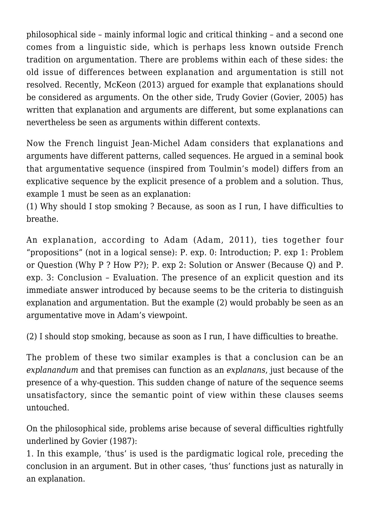philosophical side – mainly informal logic and critical thinking – and a second one comes from a linguistic side, which is perhaps less known outside French tradition on argumentation. There are problems within each of these sides: the old issue of differences between explanation and argumentation is still not resolved. Recently, McKeon (2013) argued for example that explanations should be considered as arguments. On the other side, Trudy Govier (Govier, 2005) has written that explanation and arguments are different, but some explanations can nevertheless be seen as arguments within different contexts.

Now the French linguist Jean-Michel Adam considers that explanations and arguments have different patterns, called sequences. He argued in a seminal book that argumentative sequence (inspired from Toulmin's model) differs from an explicative sequence by the explicit presence of a problem and a solution. Thus, example 1 must be seen as an explanation:

(1) Why should I stop smoking ? Because, as soon as I run, I have difficulties to breathe.

An explanation, according to Adam (Adam, 2011), ties together four "propositions" (not in a logical sense): P. exp. 0: Introduction; P. exp 1: Problem or Question (Why P ? How P?); P. exp 2: Solution or Answer (Because Q) and P. exp. 3: Conclusion – Evaluation. The presence of an explicit question and its immediate answer introduced by because seems to be the criteria to distinguish explanation and argumentation. But the example (2) would probably be seen as an argumentative move in Adam's viewpoint.

(2) I should stop smoking, because as soon as I run, I have difficulties to breathe.

The problem of these two similar examples is that a conclusion can be an *explanandum* and that premises can function as an *explanans*, just because of the presence of a why-question. This sudden change of nature of the sequence seems unsatisfactory, since the semantic point of view within these clauses seems untouched.

On the philosophical side, problems arise because of several difficulties rightfully underlined by Govier (1987):

1. In this example, 'thus' is used is the pardigmatic logical role, preceding the conclusion in an argument. But in other cases, 'thus' functions just as naturally in an explanation.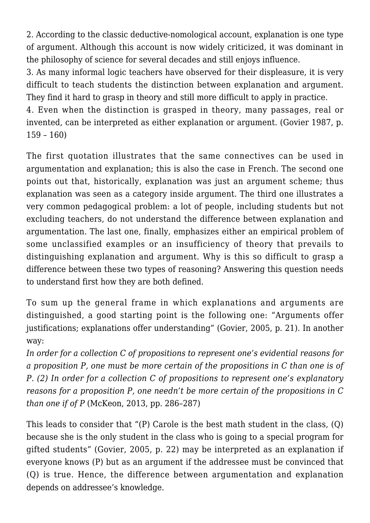2. According to the classic deductive-nomological account, explanation is one type of argument. Although this account is now widely criticized, it was dominant in the philosophy of science for several decades and still enjoys influence.

3. As many informal logic teachers have observed for their displeasure, it is very difficult to teach students the distinction between explanation and argument. They find it hard to grasp in theory and still more difficult to apply in practice.

4. Even when the distinction is grasped in theory, many passages, real or invented, can be interpreted as either explanation or argument. (Govier 1987, p. 159 – 160)

The first quotation illustrates that the same connectives can be used in argumentation and explanation; this is also the case in French. The second one points out that, historically, explanation was just an argument scheme; thus explanation was seen as a category inside argument. The third one illustrates a very common pedagogical problem: a lot of people, including students but not excluding teachers, do not understand the difference between explanation and argumentation. The last one, finally, emphasizes either an empirical problem of some unclassified examples or an insufficiency of theory that prevails to distinguishing explanation and argument. Why is this so difficult to grasp a difference between these two types of reasoning? Answering this question needs to understand first how they are both defined.

To sum up the general frame in which explanations and arguments are distinguished, a good starting point is the following one: "Arguments offer justifications; explanations offer understanding" (Govier, 2005, p. 21). In another way:

*In order for a collection C of propositions to represent one's evidential reasons for a proposition P, one must be more certain of the propositions in C than one is of P. (2) In order for a collection C of propositions to represent one's explanatory reasons for a proposition P, one needn't be more certain of the propositions in C than one if of P* (McKeon, 2013, pp. 286–287)

This leads to consider that "(P) Carole is the best math student in the class, (Q) because she is the only student in the class who is going to a special program for gifted students" (Govier, 2005, p. 22) may be interpreted as an explanation if everyone knows (P) but as an argument if the addressee must be convinced that (Q) is true. Hence, the difference between argumentation and explanation depends on addressee's knowledge.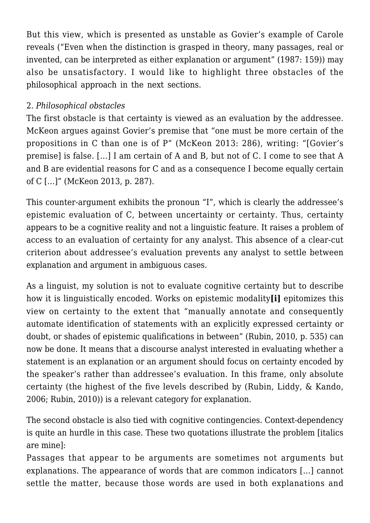But this view, which is presented as unstable as Govier's example of Carole reveals ("Even when the distinction is grasped in theory, many passages, real or invented, can be interpreted as either explanation or argument" (1987: 159)) may also be unsatisfactory. I would like to highlight three obstacles of the philosophical approach in the next sections.

#### 2. *Philosophical obstacles*

The first obstacle is that certainty is viewed as an evaluation by the addressee. McKeon argues against Govier's premise that "one must be more certain of the propositions in C than one is of P" (McKeon 2013: 286), writing: "[Govier's premise] is false. […] I am certain of A and B, but not of C. I come to see that A and B are evidential reasons for C and as a consequence I become equally certain of C […]" (McKeon 2013, p. 287).

This counter-argument exhibits the pronoun "I", which is clearly the addressee's epistemic evaluation of C, between uncertainty or certainty. Thus, certainty appears to be a cognitive reality and not a linguistic feature. It raises a problem of access to an evaluation of certainty for any analyst. This absence of a clear-cut criterion about addressee's evaluation prevents any analyst to settle between explanation and argument in ambiguous cases.

As a linguist, my solution is not to evaluate cognitive certainty but to describe how it is linguistically encoded. Works on epistemic modality**[i]** epitomizes this view on certainty to the extent that "manually annotate and consequently automate identification of statements with an explicitly expressed certainty or doubt, or shades of epistemic qualifications in between" (Rubin, 2010, p. 535) can now be done. It means that a discourse analyst interested in evaluating whether a statement is an explanation or an argument should focus on certainty encoded by the speaker's rather than addressee's evaluation. In this frame, only absolute certainty (the highest of the five levels described by (Rubin, Liddy, & Kando, 2006; Rubin, 2010)) is a relevant category for explanation.

The second obstacle is also tied with cognitive contingencies. Context-dependency is quite an hurdle in this case. These two quotations illustrate the problem [italics are mine]:

Passages that appear to be arguments are sometimes not arguments but explanations. The appearance of words that are common indicators […] cannot settle the matter, because those words are used in both explanations and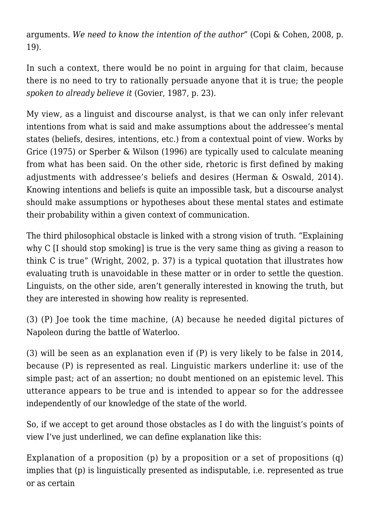arguments. *We need to know the intention of the author*" (Copi & Cohen, 2008, p. 19).

In such a context, there would be no point in arguing for that claim, because there is no need to try to rationally persuade anyone that it is true; the people *spoken to already believe it* (Govier, 1987, p. 23).

My view, as a linguist and discourse analyst, is that we can only infer relevant intentions from what is said and make assumptions about the addressee's mental states (beliefs, desires, intentions, etc.) from a contextual point of view. Works by Grice (1975) or Sperber & Wilson (1996) are typically used to calculate meaning from what has been said. On the other side, rhetoric is first defined by making adjustments with addressee's beliefs and desires (Herman & Oswald, 2014). Knowing intentions and beliefs is quite an impossible task, but a discourse analyst should make assumptions or hypotheses about these mental states and estimate their probability within a given context of communication.

The third philosophical obstacle is linked with a strong vision of truth. "Explaining why C II should stop smoking is true is the very same thing as giving a reason to think C is true" (Wright, 2002, p. 37) is a typical quotation that illustrates how evaluating truth is unavoidable in these matter or in order to settle the question. Linguists, on the other side, aren't generally interested in knowing the truth, but they are interested in showing how reality is represented.

(3) (P) Joe took the time machine, (A) because he needed digital pictures of Napoleon during the battle of Waterloo.

(3) will be seen as an explanation even if (P) is very likely to be false in 2014, because (P) is represented as real. Linguistic markers underline it: use of the simple past; act of an assertion; no doubt mentioned on an epistemic level. This utterance appears to be true and is intended to appear so for the addressee independently of our knowledge of the state of the world.

So, if we accept to get around those obstacles as I do with the linguist's points of view I've just underlined, we can define explanation like this:

Explanation of a proposition (p) by a proposition or a set of propositions (q) implies that (p) is linguistically presented as indisputable, i.e. represented as true or as certain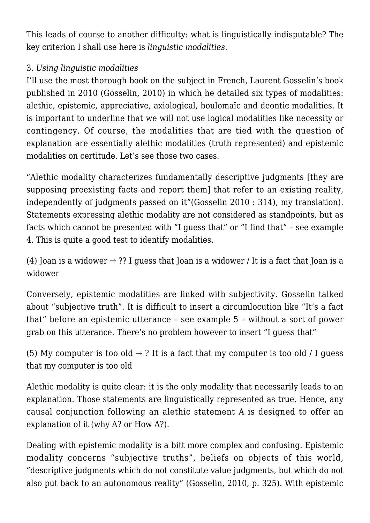This leads of course to another difficulty: what is linguistically indisputable? The key criterion I shall use here is *linguistic modalities*.

## 3. *Using linguistic modalities*

I'll use the most thorough book on the subject in French, Laurent Gosselin's book published in 2010 (Gosselin, 2010) in which he detailed six types of modalities: alethic, epistemic, appreciative, axiological, boulomaïc and deontic modalities. It is important to underline that we will not use logical modalities like necessity or contingency. Of course, the modalities that are tied with the question of explanation are essentially alethic modalities (truth represented) and epistemic modalities on certitude. Let's see those two cases.

"Alethic modality characterizes fundamentally descriptive judgments [they are supposing preexisting facts and report them] that refer to an existing reality, independently of judgments passed on it"(Gosselin 2010 : 314), my translation). Statements expressing alethic modality are not considered as standpoints, but as facts which cannot be presented with "I guess that" or "I find that" – see example 4. This is quite a good test to identify modalities.

(4) Joan is a widower  $\rightarrow$  ?? I guess that Joan is a widower / It is a fact that Joan is a widower

Conversely, epistemic modalities are linked with subjectivity. Gosselin talked about "subjective truth". It is difficult to insert a circumlocution like "It's a fact that" before an epistemic utterance – see example 5 – without a sort of power grab on this utterance. There's no problem however to insert "I guess that"

(5) My computer is too old  $\rightarrow$  ? It is a fact that my computer is too old / I guess that my computer is too old

Alethic modality is quite clear: it is the only modality that necessarily leads to an explanation. Those statements are linguistically represented as true. Hence, any causal conjunction following an alethic statement A is designed to offer an explanation of it (why A? or How A?).

Dealing with epistemic modality is a bitt more complex and confusing. Epistemic modality concerns "subjective truths", beliefs on objects of this world, "descriptive judgments which do not constitute value judgments, but which do not also put back to an autonomous reality" (Gosselin, 2010, p. 325). With epistemic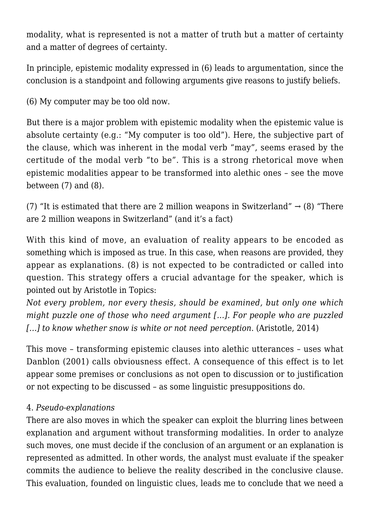modality, what is represented is not a matter of truth but a matter of certainty and a matter of degrees of certainty.

In principle, epistemic modality expressed in (6) leads to argumentation, since the conclusion is a standpoint and following arguments give reasons to justify beliefs.

(6) My computer may be too old now.

But there is a major problem with epistemic modality when the epistemic value is absolute certainty (e.g.: "My computer is too old"). Here, the subjective part of the clause, which was inherent in the modal verb "may", seems erased by the certitude of the modal verb "to be". This is a strong rhetorical move when epistemic modalities appear to be transformed into alethic ones – see the move between  $(7)$  and  $(8)$ .

(7) "It is estimated that there are 2 million weapons in Switzerland"  $\rightarrow$  (8) "There are 2 million weapons in Switzerland" (and it's a fact)

With this kind of move, an evaluation of reality appears to be encoded as something which is imposed as true. In this case, when reasons are provided, they appear as explanations. (8) is not expected to be contradicted or called into question. This strategy offers a crucial advantage for the speaker, which is pointed out by Aristotle in Topics:

*Not every problem, nor every thesis, should be examined, but only one which might puzzle one of those who need argument […]. For people who are puzzled […] to know whether snow is white or not need perception*. (Aristotle, 2014)

This move – transforming epistemic clauses into alethic utterances – uses what Danblon (2001) calls obviousness effect. A consequence of this effect is to let appear some premises or conclusions as not open to discussion or to justification or not expecting to be discussed – as some linguistic presuppositions do.

#### 4. *Pseudo-explanations*

There are also moves in which the speaker can exploit the blurring lines between explanation and argument without transforming modalities. In order to analyze such moves, one must decide if the conclusion of an argument or an explanation is represented as admitted. In other words, the analyst must evaluate if the speaker commits the audience to believe the reality described in the conclusive clause. This evaluation, founded on linguistic clues, leads me to conclude that we need a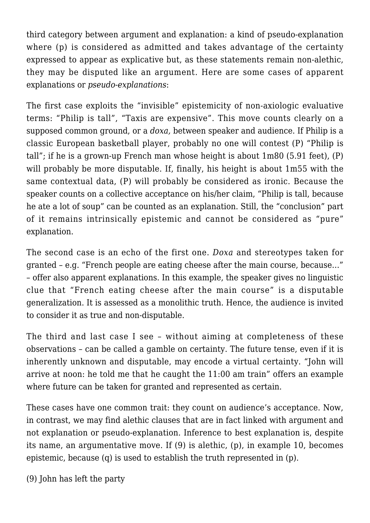third category between argument and explanation: a kind of pseudo-explanation where (p) is considered as admitted and takes advantage of the certainty expressed to appear as explicative but, as these statements remain non-alethic, they may be disputed like an argument. Here are some cases of apparent explanations or *pseudo-explanations*:

The first case exploits the "invisible" epistemicity of non-axiologic evaluative terms: "Philip is tall", "Taxis are expensive". This move counts clearly on a supposed common ground, or a *doxa,* between speaker and audience. If Philip is a classic European basketball player, probably no one will contest (P) "Philip is tall"; if he is a grown-up French man whose height is about 1m80 (5.91 feet), (P) will probably be more disputable. If, finally, his height is about 1m55 with the same contextual data, (P) will probably be considered as ironic. Because the speaker counts on a collective acceptance on his/her claim, "Philip is tall, because he ate a lot of soup" can be counted as an explanation. Still, the "conclusion" part of it remains intrinsically epistemic and cannot be considered as "pure" explanation.

The second case is an echo of the first one. *Doxa* and stereotypes taken for granted – e.g. "French people are eating cheese after the main course, because…" – offer also apparent explanations. In this example, the speaker gives no linguistic clue that "French eating cheese after the main course" is a disputable generalization. It is assessed as a monolithic truth. Hence, the audience is invited to consider it as true and non-disputable.

The third and last case I see – without aiming at completeness of these observations – can be called a gamble on certainty. The future tense, even if it is inherently unknown and disputable, may encode a virtual certainty. "John will arrive at noon: he told me that he caught the 11:00 am train" offers an example where future can be taken for granted and represented as certain.

These cases have one common trait: they count on audience's acceptance. Now, in contrast, we may find alethic clauses that are in fact linked with argument and not explanation or pseudo-explanation. Inference to best explanation is, despite its name, an argumentative move. If (9) is alethic, (p), in example 10, becomes epistemic, because (q) is used to establish the truth represented in (p).

(9) John has left the party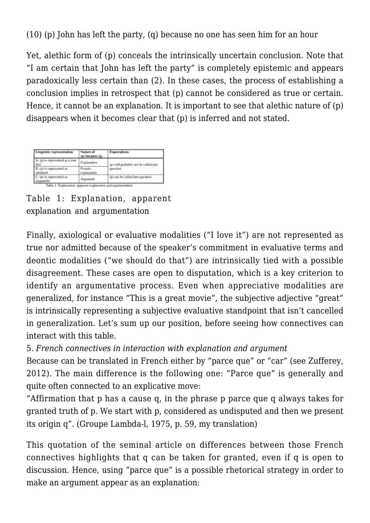(10) (p) John has left the party, (q) because no one has seen him for an hour

Yet, alethic form of (p) conceals the intrinsically uncertain conclusion. Note that "I am certain that John has left the party" is completely epistemic and appears paradoxically less certain than (2). In these cases, the process of establishing a conclusion implies in retrospect that (p) cannot be considered as true or certain. Hence, it cannot be an explanation. It is important to see that alethic nature of (p) disappears when it becomes clear that (p) is inferred and not stated.

| Linguistic representation               | Nature of<br>(p) because (q) | <b>Expectations</b>                              |
|-----------------------------------------|------------------------------|--------------------------------------------------|
| A. (p) is represented as a true<br>fact | Explanation                  | (p) will probably not be called into<br>question |
| B. (p) is represented as<br>dmitted     | Pseudo-<br>explanation       |                                                  |
| C. (p) is represented as<br>fisputable  | Argument                     | (p) can be called into question                  |

Table 1: Explanation, apparent explanation and argumentation

Finally, axiological or evaluative modalities ("I love it") are not represented as true nor admitted because of the speaker's commitment in evaluative terms and deontic modalities ("we should do that") are intrinsically tied with a possible disagreement. These cases are open to disputation, which is a key criterion to identify an argumentative process. Even when appreciative modalities are generalized, for instance "This is a great movie", the subjective adjective "great" is intrinsically representing a subjective evaluative standpoint that isn't cancelled in generalization. Let's sum up our position, before seeing how connectives can interact with this table.

5. *French connectives in interaction with explanation and argument*

Because can be translated in French either by "parce que" or "car" (see Zufferey, 2012). The main difference is the following one: "Parce que" is generally and quite often connected to an explicative move:

"Affirmation that p has a cause q, in the phrase p parce que q always takes for granted truth of p. We start with p, considered as undisputed and then we present its origin q". (Groupe Lambda-l, 1975, p. 59, my translation)

This quotation of the seminal article on differences between those French connectives highlights that q can be taken for granted, even if q is open to discussion. Hence, using "parce que" is a possible rhetorical strategy in order to make an argument appear as an explanation: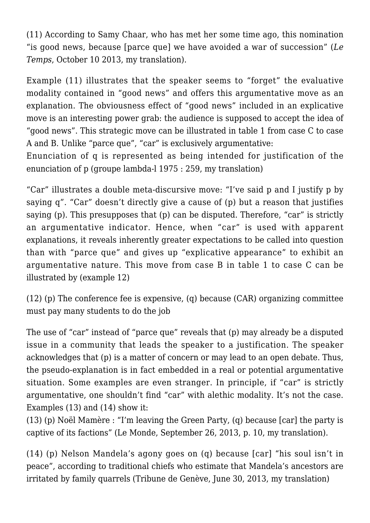(11) According to Samy Chaar, who has met her some time ago, this nomination "is good news, because [parce que] we have avoided a war of succession" (*Le Temps*, October 10 2013, my translation).

Example (11) illustrates that the speaker seems to "forget" the evaluative modality contained in "good news" and offers this argumentative move as an explanation. The obviousness effect of "good news" included in an explicative move is an interesting power grab: the audience is supposed to accept the idea of "good news". This strategic move can be illustrated in table 1 from case C to case A and B. Unlike "parce que", "car" is exclusively argumentative:

Enunciation of q is represented as being intended for justification of the enunciation of p (groupe lambda-l 1975 : 259, my translation)

"Car" illustrates a double meta-discursive move: "I've said p and I justify p by saying q". "Car" doesn't directly give a cause of (p) but a reason that justifies saying (p). This presupposes that (p) can be disputed. Therefore, "car" is strictly an argumentative indicator. Hence, when "car" is used with apparent explanations, it reveals inherently greater expectations to be called into question than with "parce que" and gives up "explicative appearance" to exhibit an argumentative nature. This move from case B in table 1 to case C can be illustrated by (example 12)

(12) (p) The conference fee is expensive, (q) because (CAR) organizing committee must pay many students to do the job

The use of "car" instead of "parce que" reveals that (p) may already be a disputed issue in a community that leads the speaker to a justification. The speaker acknowledges that (p) is a matter of concern or may lead to an open debate. Thus, the pseudo-explanation is in fact embedded in a real or potential argumentative situation. Some examples are even stranger. In principle, if "car" is strictly argumentative, one shouldn't find "car" with alethic modality. It's not the case. Examples (13) and (14) show it:

(13) (p) Noël Mamère : "I'm leaving the Green Party, (q) because [car] the party is captive of its factions" (Le Monde, September 26, 2013, p. 10, my translation).

(14) (p) Nelson Mandela's agony goes on (q) because [car] "his soul isn't in peace", according to traditional chiefs who estimate that Mandela's ancestors are irritated by family quarrels (Tribune de Genève, June 30, 2013, my translation)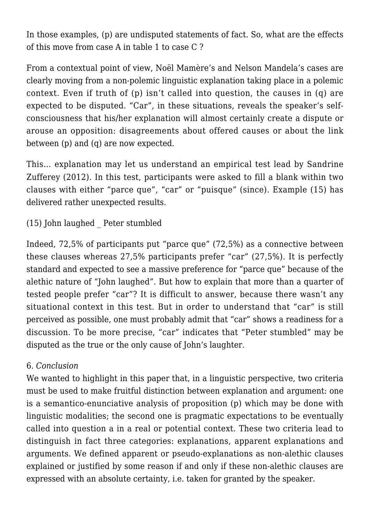In those examples, (p) are undisputed statements of fact. So, what are the effects of this move from case A in table 1 to case C ?

From a contextual point of view, Noël Mamère's and Nelson Mandela's cases are clearly moving from a non-polemic linguistic explanation taking place in a polemic context. Even if truth of (p) isn't called into question, the causes in (q) are expected to be disputed. "Car", in these situations, reveals the speaker's selfconsciousness that his/her explanation will almost certainly create a dispute or arouse an opposition: disagreements about offered causes or about the link between (p) and (q) are now expected.

This… explanation may let us understand an empirical test lead by Sandrine Zufferey (2012). In this test, participants were asked to fill a blank within two clauses with either "parce que", "car" or "puisque" (since). Example (15) has delivered rather unexpected results.

(15) John laughed \_ Peter stumbled

Indeed, 72,5% of participants put "parce que" (72,5%) as a connective between these clauses whereas 27,5% participants prefer "car" (27,5%). It is perfectly standard and expected to see a massive preference for "parce que" because of the alethic nature of "John laughed". But how to explain that more than a quarter of tested people prefer "car"? It is difficult to answer, because there wasn't any situational context in this test. But in order to understand that "car" is still perceived as possible, one must probably admit that "car" shows a readiness for a discussion. To be more precise, "car" indicates that "Peter stumbled" may be disputed as the true or the only cause of John's laughter.

#### 6. *Conclusion*

We wanted to highlight in this paper that, in a linguistic perspective, two criteria must be used to make fruitful distinction between explanation and argument: one is a semantico-enunciative analysis of proposition (p) which may be done with linguistic modalities; the second one is pragmatic expectations to be eventually called into question a in a real or potential context. These two criteria lead to distinguish in fact three categories: explanations, apparent explanations and arguments. We defined apparent or pseudo-explanations as non-alethic clauses explained or justified by some reason if and only if these non-alethic clauses are expressed with an absolute certainty, i.e. taken for granted by the speaker.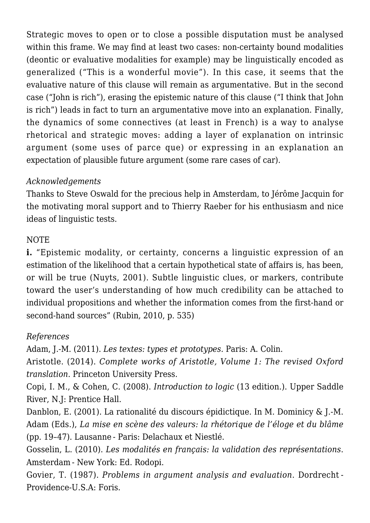Strategic moves to open or to close a possible disputation must be analysed within this frame. We may find at least two cases: non-certainty bound modalities (deontic or evaluative modalities for example) may be linguistically encoded as generalized ("This is a wonderful movie"). In this case, it seems that the evaluative nature of this clause will remain as argumentative. But in the second case ("John is rich"), erasing the epistemic nature of this clause ("I think that John is rich") leads in fact to turn an argumentative move into an explanation. Finally, the dynamics of some connectives (at least in French) is a way to analyse rhetorical and strategic moves: adding a layer of explanation on intrinsic argument (some uses of parce que) or expressing in an explanation an expectation of plausible future argument (some rare cases of car).

### *Acknowledgements*

Thanks to Steve Oswald for the precious help in Amsterdam, to Jérôme Jacquin for the motivating moral support and to Thierry Raeber for his enthusiasm and nice ideas of linguistic tests.

#### NOTE

**i.** "Epistemic modality, or certainty, concerns a linguistic expression of an estimation of the likelihood that a certain hypothetical state of affairs is, has been, or will be true (Nuyts, 2001). Subtle linguistic clues, or markers, contribute toward the user's understanding of how much credibility can be attached to individual propositions and whether the information comes from the first-hand or second-hand sources" (Rubin, 2010, p. 535)

#### *References*

Adam, J.-M. (2011). *Les textes: types et prototypes.* Paris: A. Colin.

Aristotle. (2014). *Complete works of Aristotle, Volume 1: The revised Oxford translation*. Princeton University Press.

Copi, I. M., & Cohen, C. (2008). *Introduction to logic* (13 edition.). Upper Saddle River, N.J: Prentice Hall.

Danblon, E. (2001). La rationalité du discours épidictique. In M. Dominicy & J.-M. Adam (Eds.), *La mise en scène des valeurs: la rhétorique de l'éloge et du blâme* (pp. 19–47). Lausanne - Paris: Delachaux et Niestlé.

Gosselin, L. (2010). *Les modalités en français: la validation des représentations*. Amsterdam - New York: Ed. Rodopi.

Govier, T. (1987). *Problems in argument analysis and evaluation*. Dordrecht - Providence-U.S.A: Foris.